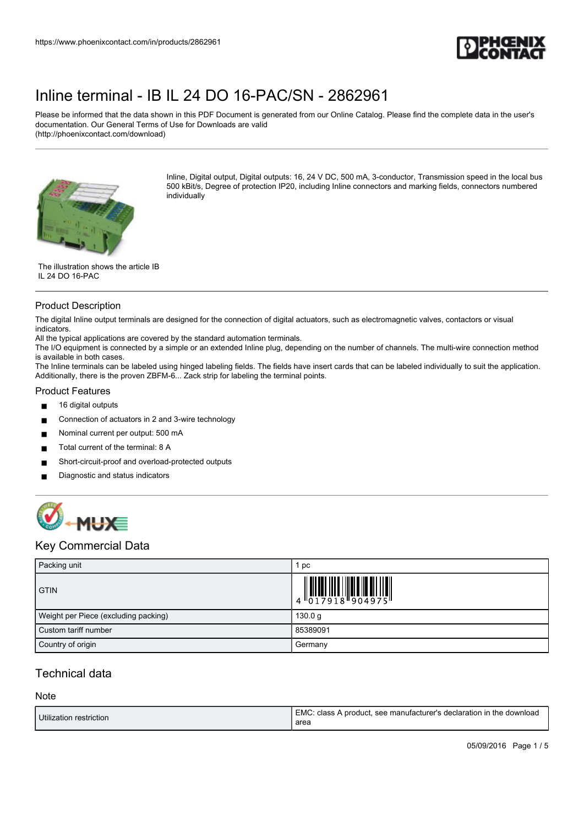

Please be informed that the data shown in this PDF Document is generated from our Online Catalog. Please find the complete data in the user's documentation. Our General Terms of Use for Downloads are valid (http://phoenixcontact.com/download)



Inline, Digital output, Digital outputs: 16, 24 V DC, 500 mA, 3-conductor, Transmission speed in the local bus 500 kBit/s, Degree of protection IP20, including Inline connectors and marking fields, connectors numbered individually

The illustration shows the article IB IL 24 DO 16-PAC

#### Product Description

The digital Inline output terminals are designed for the connection of digital actuators, such as electromagnetic valves, contactors or visual indicators.

All the typical applications are covered by the standard automation terminals.

The I/O equipment is connected by a simple or an extended Inline plug, depending on the number of channels. The multi-wire connection method is available in both cases.

The Inline terminals can be labeled using hinged labeling fields. The fields have insert cards that can be labeled individually to suit the application. Additionally, there is the proven ZBFM-6... Zack strip for labeling the terminal points.

#### Product Features

- 16 digital outputs
- Connection of actuators in 2 and 3-wire technology
- Nominal current per output: 500 mA
- Total current of the terminal: 8 A
- Short-circuit-proof and overload-protected outputs
- Diagnostic and status indicators



## Key Commercial Data

| Packing unit                         | pc                                                                                                                                                                                                                                                                                                                          |
|--------------------------------------|-----------------------------------------------------------------------------------------------------------------------------------------------------------------------------------------------------------------------------------------------------------------------------------------------------------------------------|
| <b>GTIN</b>                          | $\begin{array}{c} 1 & 0 & 0 & 0 & 0 \\ 0 & 1 & 0 & 0 & 0 \\ 0 & 1 & 0 & 0 & 0 \\ 0 & 0 & 0 & 0 & 0 \\ 0 & 0 & 0 & 0 & 0 \\ 0 & 0 & 0 & 0 & 0 \\ 0 & 0 & 0 & 0 & 0 \\ 0 & 0 & 0 & 0 & 0 \\ 0 & 0 & 0 & 0 & 0 \\ 0 & 0 & 0 & 0 & 0 \\ 0 & 0 & 0 & 0 & 0 & 0 \\ 0 & 0 & 0 & 0 & 0 & 0 \\ 0 & 0 & 0 & 0 & 0 & 0 \\ 0 & 0 & 0 &$ |
| Weight per Piece (excluding packing) | 130.0 g                                                                                                                                                                                                                                                                                                                     |
| Custom tariff number                 | 85389091                                                                                                                                                                                                                                                                                                                    |
| Country of origin                    | Germany                                                                                                                                                                                                                                                                                                                     |

## Technical data

**Note** 

| Utilization restriction | EMC: class A product, see manufacturer's declaration in the download<br>area |
|-------------------------|------------------------------------------------------------------------------|
|                         |                                                                              |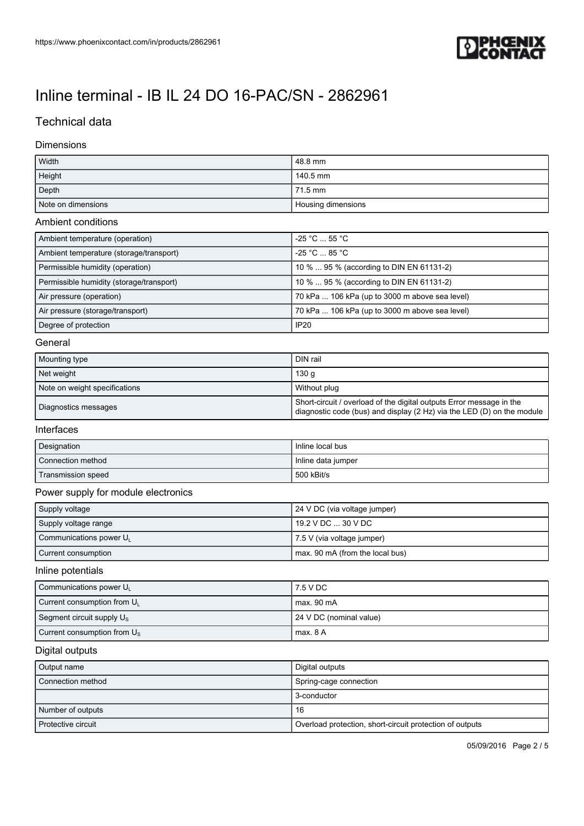

## Technical data

#### Dimensions

| Width              | 48.8 mm            |
|--------------------|--------------------|
| Height             | 140.5 mm           |
| Depth              | 71.5 mm            |
| Note on dimensions | Housing dimensions |

#### Ambient conditions

| Ambient temperature (operation)          | $-25 °C \dots 55 °C$                           |
|------------------------------------------|------------------------------------------------|
| Ambient temperature (storage/transport)  | $-25 °C$ 85 °C                                 |
| Permissible humidity (operation)         | 10 %  95 % (according to DIN EN 61131-2)       |
| Permissible humidity (storage/transport) | 10 %  95 % (according to DIN EN 61131-2)       |
| Air pressure (operation)                 | 70 kPa  106 kPa (up to 3000 m above sea level) |
| Air pressure (storage/transport)         | 70 kPa  106 kPa (up to 3000 m above sea level) |
| Degree of protection                     | <b>IP20</b>                                    |

#### General

| Mounting type                 | DIN rail                                                                                                                                       |
|-------------------------------|------------------------------------------------------------------------------------------------------------------------------------------------|
| Net weight                    | 130 a                                                                                                                                          |
| Note on weight specifications | Without plug                                                                                                                                   |
| Diagnostics messages          | Short-circuit / overload of the digital outputs Error message in the<br>diagnostic code (bus) and display (2 Hz) via the LED (D) on the module |

#### Interfaces

| Designation        | Inline local bus   |
|--------------------|--------------------|
| Connection method  | Inline data jumper |
| Transmission speed | 500 kBit/s         |

### Power supply for module electronics

| Supply voltage         | 24 V DC (via voltage jumper)    |
|------------------------|---------------------------------|
| Supply voltage range   | 19.2 V DC  30 V DC              |
| Communications power U | 7.5 V (via voltage jumper)      |
| Current consumption    | max. 90 mA (from the local bus) |

#### Inline potentials

| Communications power U                  | 17.5 V DC               |
|-----------------------------------------|-------------------------|
| Current consumption from U <sub>1</sub> | l max. 90 mA            |
| Segment circuit supply $U_{\rm s}$      | 24 V DC (nominal value) |
| Current consumption from $U_s$          | max. 8 A                |

### Digital outputs

| Output name        | Digital outputs                                          |
|--------------------|----------------------------------------------------------|
| Connection method  | Spring-cage connection                                   |
|                    | 3-conductor                                              |
| Number of outputs  | 16                                                       |
| Protective circuit | Overload protection, short-circuit protection of outputs |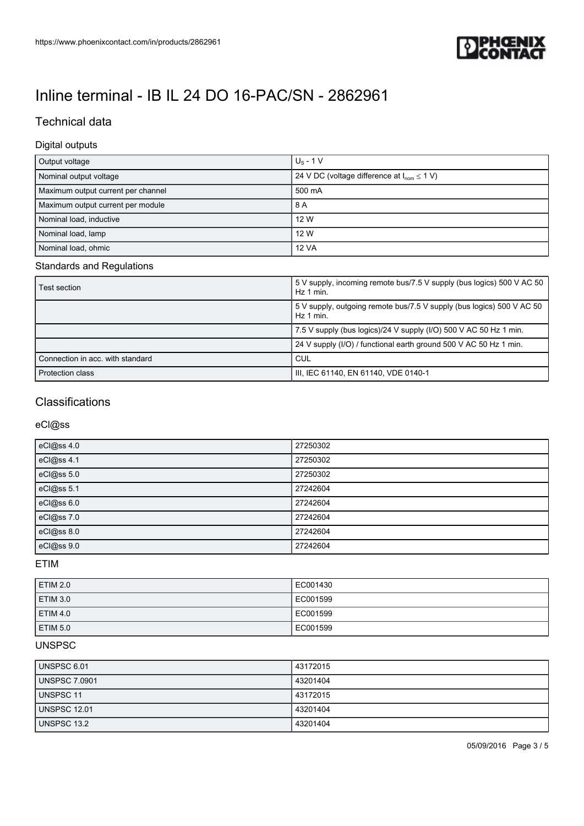

# Technical data

#### Digital outputs

| Output voltage                     | $U_s - 1V$                                               |
|------------------------------------|----------------------------------------------------------|
| Nominal output voltage             | 24 V DC (voltage difference at $I_{\text{nom}} \le 1$ V) |
| Maximum output current per channel | 500 mA                                                   |
| Maximum output current per module  | 8 A                                                      |
| Nominal load, inductive            | 12 W                                                     |
| Nominal load, lamp                 | 12 W                                                     |
| Nominal load, ohmic                | 12 VA                                                    |

### Standards and Regulations

| Test section                     | 5 V supply, incoming remote bus/7.5 V supply (bus logics) 500 V AC 50<br>. Hz 1 min. |
|----------------------------------|--------------------------------------------------------------------------------------|
|                                  | 500 V supply, outgoing remote bus/7.5 V supply (bus logics) 500 V AC 50<br>Hz 1 min. |
|                                  | 7.5 V supply (bus logics)/24 V supply (I/O) 500 V AC 50 Hz 1 min.                    |
|                                  | 24 V supply (I/O) / functional earth ground 500 V AC 50 Hz 1 min.                    |
| Connection in acc. with standard | <b>CUL</b>                                                                           |
| <b>Protection class</b>          | III, IEC 61140, EN 61140, VDE 0140-1                                                 |

# **Classifications**

### eCl@ss

| eCl@ss 4.0 | 27250302 |
|------------|----------|
| eCl@ss 4.1 | 27250302 |
| eCl@ss 5.0 | 27250302 |
| eCl@ss 5.1 | 27242604 |
| eCl@ss 6.0 | 27242604 |
| eCl@ss 7.0 | 27242604 |
| eCl@ss 8.0 | 27242604 |
| eCl@ss 9.0 | 27242604 |

### ETIM

| <b>ETIM 2.0</b> | LEC001430 |
|-----------------|-----------|
| <b>ETIM 3.0</b> | LEC001599 |
| <b>ETIM 4.0</b> | LEC001599 |
| <b>ETIM 5.0</b> | EC001599  |

### UNSPSC

| <b>UNSPSC 6.01</b>   | 43172015 |
|----------------------|----------|
| <b>UNSPSC 7.0901</b> | 43201404 |
| <b>UNSPSC 11</b>     | 43172015 |
| <b>UNSPSC 12.01</b>  | 43201404 |
| UNSPSC 13.2          | 43201404 |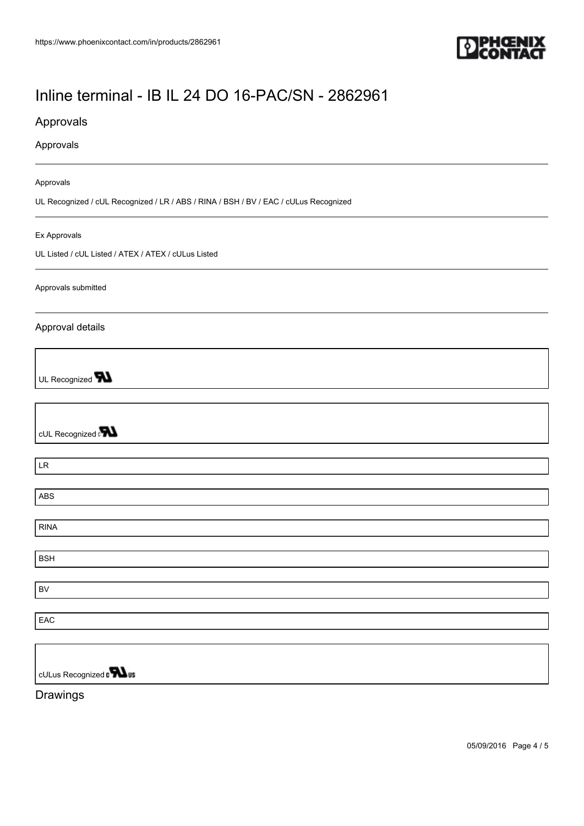

## Approvals

#### Approvals

#### Approvals

UL Recognized / cUL Recognized / LR / ABS / RINA / BSH / BV / EAC / cULus Recognized

#### Ex Approvals

UL Listed / cUL Listed / ATEX / ATEX / cULus Listed

#### Approvals submitted

#### Approval details

UL Recognized **W** 

cUL Recognized a**value** 

LR

ABS

RINA

BSH

BV

EAC

cULus Recognized n**Wus** 

Drawings